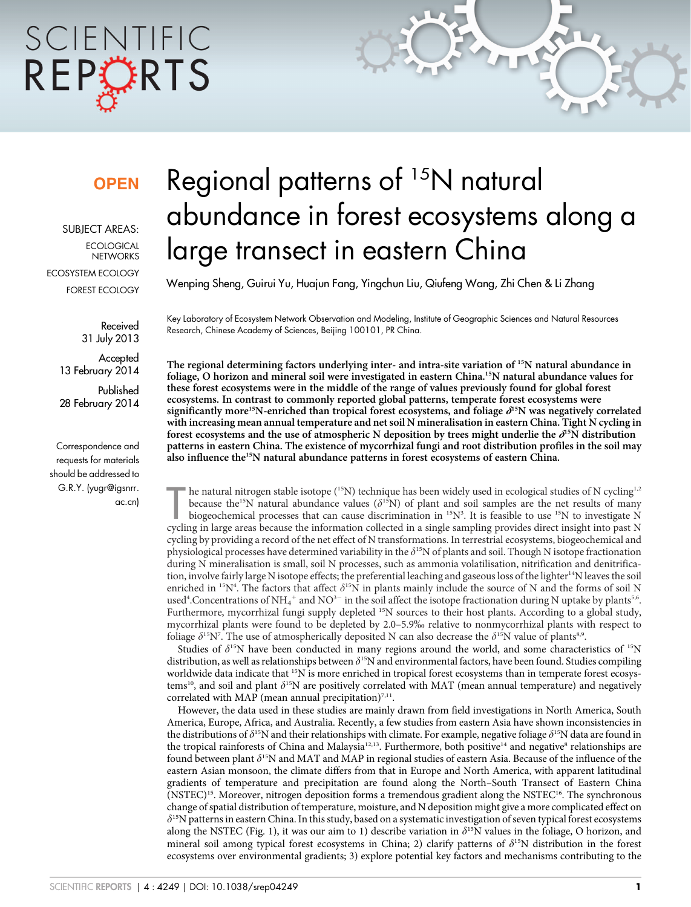# SCIENTIFIC REPORTS

### **OPEN**

SUBJECT AREAS: **ECOLOGICAL NETWORKS** ECOSYSTEM ECOLOGY FOREST ECOLOGY

> Received 31 July 2013

Accepted 13 February 2014

Published 28 February 2014

Correspondence and requests for materials should be addressed to G.R.Y. (yugr@igsnrr. ac.cn)

## Regional patterns of <sup>15</sup>N natural abundance in forest ecosystems along a large transect in eastern China

Wenping Sheng, Guirui Yu, Huajun Fang, Yingchun Liu, Qiufeng Wang, Zhi Chen & Li Zhang

Key Laboratory of Ecosystem Network Observation and Modeling, Institute of Geographic Sciences and Natural Resources Research, Chinese Academy of Sciences, Beijing 100101, PR China.

The regional determining factors underlying inter- and intra-site variation of <sup>15</sup>N natural abundance in foliage, O horizon and mineral soil were investigated in eastern China.15N natural abundance values for these forest ecosystems were in the middle of the range of values previously found for global forest ecosystems. In contrast to commonly reported global patterns, temperate forest ecosystems were significantly more<sup>15</sup>N-enriched than tropical forest ecosystems, and foliage  $\delta^{15}N$  was negatively correlated with increasing mean annual temperature and net soil N mineralisation in eastern China. Tight N cycling in forest ecosystems and the use of atmospheric N deposition by trees might underlie the  $\partial^{15}N$  distribution patterns in eastern China. The existence of mycorrhizal fungi and root distribution profiles in the soil may also influence the15N natural abundance patterns in forest ecosystems of eastern China.

he natural nitrogen stable isotope (<sup>15</sup>N) technique has been widely used in ecological studies of N cycling<sup>1,2</sup> because the<sup>15</sup>N natural abundance values ( $\delta$ <sup>15</sup>N) of plant and soil samples are the net results of many he natural nitrogen stable isotope (<sup>15</sup>N) technique has been widely used in ecological studies of N cycling<sup>1,2</sup> because the<sup>15</sup>N natural abundance values ( $\delta^{15}N$ ) of plant and soil samples are the net results of many biogeochemical processes that can cause discrimination in  $^{15}N^3$ . It is feasible to use  $^{15}N$  to investigate N cycling by providing a record of the net effect of N transformations. In terrestrial ecosystems, biogeochemical and physiological processes have determined variability in the  $\delta^{15}N$  of plants and soil. Though N isotope fractionation during N mineralisation is small, soil N processes, such as ammonia volatilisation, nitrification and denitrification, involve fairly large N isotope effects; the preferential leaching and gaseous loss of the lighter<sup>14</sup>N leaves the soil enriched in <sup>15</sup>N<sup>4</sup>. The factors that affect  $\delta^{15}N$  in plants mainly include the source of N and the forms of soil N used<sup>4</sup>. Concentrations of NH<sub>4</sub><sup>+</sup> and NO<sup>3-</sup> in the soil affect the isotope fractionation during N uptake by plants<sup>5,6</sup>. Furthermore, mycorrhizal fungi supply depleted <sup>15</sup>N sources to their host plants. According to a global study, mycorrhizal plants were found to be depleted by 2.0–5.9% relative to nonmycorrhizal plants with respect to foliage  $\delta^{15}N^7$ . The use of atmospherically deposited N can also decrease the  $\delta^{15}N$  value of plants<sup>8,9</sup>.

Studies of  $\delta^{15}N$  have been conducted in many regions around the world, and some characteristics of  $^{15}N$ distribution, as well as relationships between  $\delta^{15}N$  and environmental factors, have been found. Studies compiling worldwide data indicate that 15N is more enriched in tropical forest ecosystems than in temperate forest ecosystems<sup>10</sup>, and soil and plant  $\delta^{15}N$  are positively correlated with MAT (mean annual temperature) and negatively correlated with MAP (mean annual precipitation) $7,11$ .

However, the data used in these studies are mainly drawn from field investigations in North America, South America, Europe, Africa, and Australia. Recently, a few studies from eastern Asia have shown inconsistencies in the distributions of  $\delta^{15}N$  and their relationships with climate. For example, negative foliage  $\delta^{15}N$  data are found in the tropical rainforests of China and Malaysia<sup>12,13</sup>. Furthermore, both positive<sup>14</sup> and negative<sup>8</sup> relationships are found between plant  $\delta^{15}N$  and MAT and MAP in regional studies of eastern Asia. Because of the influence of the eastern Asian monsoon, the climate differs from that in Europe and North America, with apparent latitudinal gradients of temperature and precipitation are found along the North–South Transect of Eastern China  $(NSTEC)^{15}$ . Moreover, nitrogen deposition forms a tremendous gradient along the NSTEC<sup>16</sup>. The synchronous change of spatial distribution of temperature, moisture, and N deposition might give a more complicated effect on  $\delta$ <sup>15</sup>N patterns in eastern China. In this study, based on a systematic investigation of seven typical forest ecosystems along the NSTEC (Fig. 1), it was our aim to 1) describe variation in  $\delta^{15}N$  values in the foliage, O horizon, and mineral soil among typical forest ecosystems in China; 2) clarify patterns of  $\delta^{15}N$  distribution in the forest ecosystems over environmental gradients; 3) explore potential key factors and mechanisms contributing to the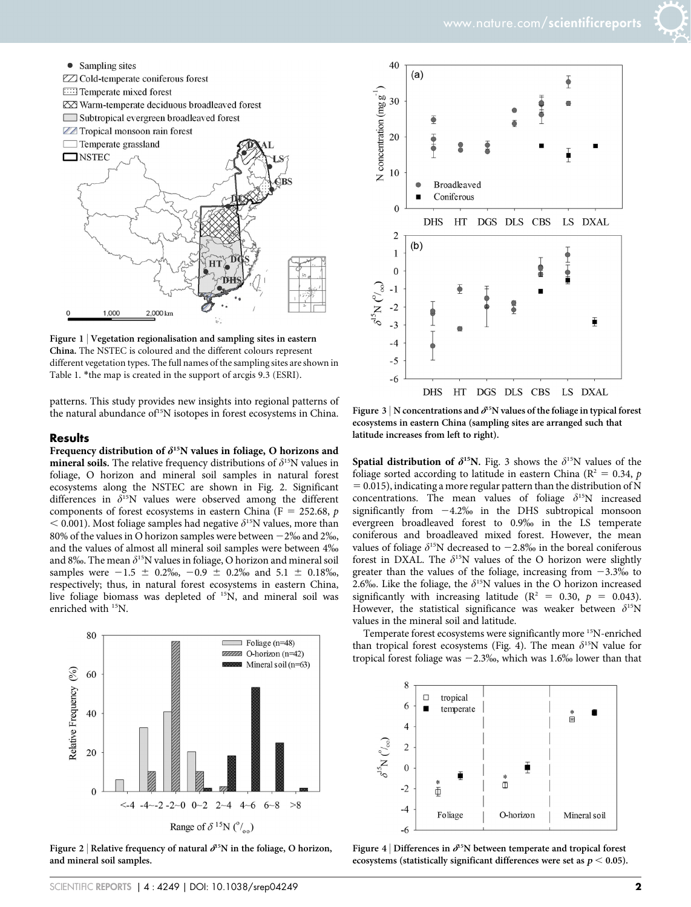



Figure 1 | Vegetation regionalisation and sampling sites in eastern China. The NSTEC is coloured and the different colours represent different vegetation types. The full names of the sampling sites are shown in Table 1. \*the map is created in the support of arcgis 9.3 (ESRI).

patterns. This study provides new insights into regional patterns of the natural abundance of<sup>15</sup>N isotopes in forest ecosystems in China.

#### Results

Frequency distribution of  $\delta^{15}N$  values in foliage, O horizons and **mineral soils.** The relative frequency distributions of  $\delta^{15}N$  values in foliage, O horizon and mineral soil samples in natural forest ecosystems along the NSTEC are shown in Fig. 2. Significant differences in  $\delta^{15}N$  values were observed among the different components of forest ecosystems in eastern China (F = 252.68,  $p$ )  $<$  0.001). Most foliage samples had negative  $\delta$ <sup>15</sup>N values, more than 80% of the values in O horizon samples were between  $-2\%$  and  $2\%$ , and the values of almost all mineral soil samples were between 4% and 8‰. The mean  $\delta^{15}N$  values in foliage, O horizon and mineral soil samples were  $-1.5 \pm 0.2\%$ ,  $-0.9 \pm 0.2\%$  and  $5.1 \pm 0.18\%$ , respectively; thus, in natural forest ecosystems in eastern China, live foliage biomass was depleted of <sup>15</sup>N, and mineral soil was enriched with <sup>15</sup>N.



Figure 2 | Relative frequency of natural  $\delta^{15}N$  in the foliage, O horizon, and mineral soil samples.



Figure 3 | N concentrations and  $\delta^{15}N$  values of the foliage in typical forest ecosystems in eastern China (sampling sites are arranged such that latitude increases from left to right).

Spatial distribution of  $\delta^{15}N$ . Fig. 3 shows the  $\delta^{15}N$  values of the foliage sorted according to latitude in eastern China ( $R^2 = 0.34$ , p  $= 0.015$ ), indicating a more regular pattern than the distribution of N concentrations. The mean values of foliage  $\delta^{15}N$  increased significantly from  $-4.2\%$  in the DHS subtropical monsoon evergreen broadleaved forest to 0.9% in the LS temperate coniferous and broadleaved mixed forest. However, the mean values of foliage  $\delta^{15}N$  decreased to  $-2.8\%$  in the boreal coniferous forest in DXAL. The  $\delta^{15}N$  values of the O horizon were slightly greater than the values of the foliage, increasing from  $-3.3\%$  to 2.6‰. Like the foliage, the  $\delta^{15}N$  values in the O horizon increased significantly with increasing latitude ( $R^2 = 0.30$ ,  $p = 0.043$ ). However, the statistical significance was weaker between  $\delta^{15}N$ values in the mineral soil and latitude.

Temperate forest ecosystems were significantly more 15N-enriched than tropical forest ecosystems (Fig. 4). The mean  $\delta^{15}N$  value for tropical forest foliage was  $-2.3\%$ , which was 1.6% lower than that



Figure 4 | Differences in  $\delta^{15}N$  between temperate and tropical forest ecosystems (statistically significant differences were set as  $p < 0.05$ ).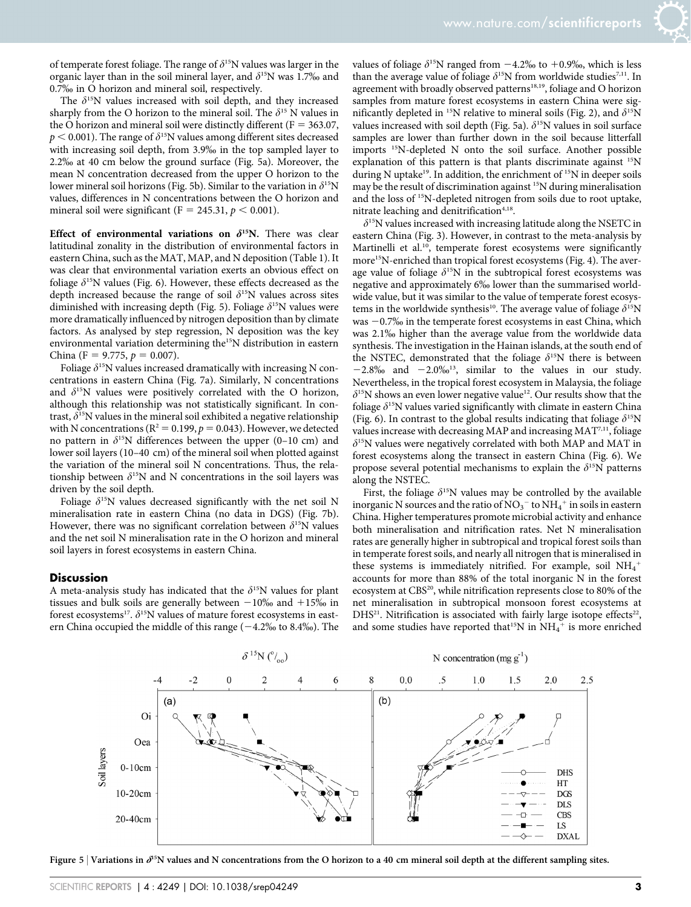of temperate forest foliage. The range of  $\delta^{15}N$  values was larger in the organic layer than in the soil mineral layer, and  $\delta^{15}N$  was 1.7% and 0.7% in O horizon and mineral soil, respectively.

The  $\delta^{15}N$  values increased with soil depth, and they increased sharply from the O horizon to the mineral soil. The  $\delta^{15}$  N values in the O horizon and mineral soil were distinctly different ( $F = 363.07$ ,  $p < 0.001$ ). The range of  $\delta^{15}N$  values among different sites decreased with increasing soil depth, from 3.9% in the top sampled layer to 2.2% at 40 cm below the ground surface (Fig. 5a). Moreover, the mean N concentration decreased from the upper O horizon to the lower mineral soil horizons (Fig. 5b). Similar to the variation in  $\delta^{15}N$ values, differences in N concentrations between the O horizon and mineral soil were significant (F = 245.31,  $p < 0.001$ ).

Effect of environmental variations on  $\delta^{15}N$ . There was clear latitudinal zonality in the distribution of environmental factors in eastern China, such as the MAT, MAP, and N deposition (Table 1). It was clear that environmental variation exerts an obvious effect on foliage  $\delta^{15}N$  values (Fig. 6). However, these effects decreased as the depth increased because the range of soil  $\delta^{15}N$  values across sites diminished with increasing depth (Fig. 5). Foliage  $\delta^{15}N$  values were more dramatically influenced by nitrogen deposition than by climate factors. As analysed by step regression, N deposition was the key environmental variation determining the<sup>15</sup>N distribution in eastern China (F = 9.775,  $p = 0.007$ ).

Foliage  $\delta^{15}N$  values increased dramatically with increasing N concentrations in eastern China (Fig. 7a). Similarly, N concentrations and  $\delta^{15}N$  values were positively correlated with the O horizon, although this relationship was not statistically significant. In contrast,  $\delta^{15}N$  values in the mineral soil exhibited a negative relationship with N concentrations ( $R^2 = 0.199$ ,  $p = 0.043$ ). However, we detected no pattern in  $\delta^{15}N$  differences between the upper (0–10 cm) and lower soil layers (10–40 cm) of the mineral soil when plotted against the variation of the mineral soil N concentrations. Thus, the relationship between  $\delta^{15}N$  and N concentrations in the soil layers was driven by the soil depth.

Foliage  $\delta^{15}N$  values decreased significantly with the net soil N mineralisation rate in eastern China (no data in DGS) (Fig. 7b). However, there was no significant correlation between  $\delta^{15}N$  values and the net soil N mineralisation rate in the O horizon and mineral soil layers in forest ecosystems in eastern China.

#### **Discussion**

A meta-analysis study has indicated that the  $\delta^{15}N$  values for plant tissues and bulk soils are generally between  $-10\%$  and  $+15\%$  in forest ecosystems<sup>17</sup>.  $\delta$ <sup>15</sup>N values of mature forest ecosystems in eastern China occupied the middle of this range  $(-4.2\%$  to 8.4‰). The

values of foliage  $\delta^{15}N$  ranged from  $-4.2\%$  to  $+0.9\%$ , which is less than the average value of foliage  $\delta^{15}N$  from worldwide studies<sup>7,11</sup>. In agreement with broadly observed patterns<sup>18,19</sup>, foliage and O horizon samples from mature forest ecosystems in eastern China were significantly depleted in <sup>15</sup>N relative to mineral soils (Fig. 2), and  $\delta^{15}N$ values increased with soil depth (Fig. 5a).  $\delta^{15}$ N values in soil surface samples are lower than further down in the soil because litterfall imports 15N-depleted N onto the soil surface. Another possible explanation of this pattern is that plants discriminate against <sup>15</sup>N during N uptake<sup>19</sup>. In addition, the enrichment of <sup>15</sup>N in deeper soils may be the result of discrimination against 15N during mineralisation and the loss of 15N-depleted nitrogen from soils due to root uptake, nitrate leaching and denitrification<sup>4,18</sup>.

 $\delta$ <sup>15</sup>N values increased with increasing latitude along the NSETC in eastern China (Fig. 3). However, in contrast to the meta-analysis by Martinelli et al.<sup>10</sup>, temperate forest ecosystems were significantly more15N-enriched than tropical forest ecosystems (Fig. 4). The average value of foliage  $\delta^{15}N$  in the subtropical forest ecosystems was negative and approximately 6% lower than the summarised worldwide value, but it was similar to the value of temperate forest ecosystems in the worldwide synthesis<sup>10</sup>. The average value of foliage  $\delta^{15}N$ was  $-0.7%$  in the temperate forest ecosystems in east China, which was 2.1% higher than the average value from the worldwide data synthesis. The investigation in the Hainan islands, at the south end of the NSTEC, demonstrated that the foliage  $\delta^{15}N$  there is between  $-2.8\%$  and  $-2.0\%$ <sup>13</sup>, similar to the values in our study. Nevertheless, in the tropical forest ecosystem in Malaysia, the foliage  $\delta^{15}$ N shows an even lower negative value<sup>12</sup>. Our results show that the foliage  $\delta^{15}N$  values varied significantly with climate in eastern China (Fig. 6). In contrast to the global results indicating that foliage  $\delta^{15}N$ values increase with decreasing MAP and increasing MAT<sup>7,11</sup>, foliage  $\delta$ <sup>15</sup>N values were negatively correlated with both MAP and MAT in forest ecosystems along the transect in eastern China (Fig. 6). We propose several potential mechanisms to explain the  $\delta^{15}N$  patterns along the NSTEC.

First, the foliage  $\delta^{15}N$  values may be controlled by the available inorganic N sources and the ratio of  $\mathrm{NO_3}^-$  to  $\mathrm{NH_4}^+$  in soils in eastern China. Higher temperatures promote microbial activity and enhance both mineralisation and nitrification rates. Net N mineralisation rates are generally higher in subtropical and tropical forest soils than in temperate forest soils, and nearly all nitrogen that is mineralised in these systems is immediately nitrified. For example, soil  $\mathrm{NH}_4{}^+$ accounts for more than 88% of the total inorganic N in the forest ecosystem at CBS<sup>20</sup>, while nitrification represents close to 80% of the net mineralisation in subtropical monsoon forest ecosystems at  $DHS<sup>21</sup>$ . Nitrification is associated with fairly large isotope effects<sup>22</sup>, and some studies have reported that<sup>15</sup>N in  $NH_4^+$  is more enriched



Figure 5 | Variations in  $\partial^5N$  values and N concentrations from the O horizon to a 40 cm mineral soil depth at the different sampling sites.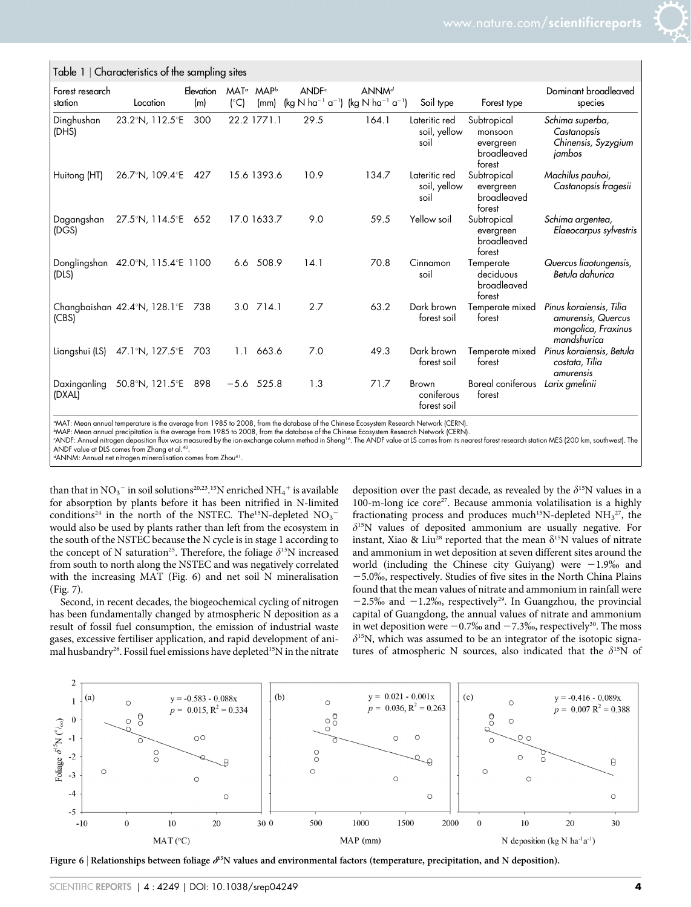| Forest research        |                                                       | Elevation | $MAT^{\alpha}$ | MAP <sup>b</sup> | ANDF <sup>c</sup>                                                                 | ANNM <sup>d</sup> |                                       |                                                              | Dominant broadleaved                                                                |
|------------------------|-------------------------------------------------------|-----------|----------------|------------------|-----------------------------------------------------------------------------------|-------------------|---------------------------------------|--------------------------------------------------------------|-------------------------------------------------------------------------------------|
| station                | Location                                              | (m)       | $(^{\circ}C)$  | (mm)             | (kg N ha <sup>-1</sup> a <sup>-1</sup> ) (kg N ha <sup>-1</sup> a <sup>-1</sup> ) |                   | Soil type                             | Forest type                                                  | species                                                                             |
| Dinghushan<br>(DHS)    | 23.2°N, 112.5°E                                       | 300       |                | 22.2 1771.1      | 29.5                                                                              | 164.1             | Lateritic red<br>soil, yellow<br>soil | Subtropical<br>monsoon<br>evergreen<br>broadleaved<br>forest | Schima superba,<br>Castanopsis<br>Chinensis, Syzygium<br>jambos                     |
| Huitong (HT)           | 26.7°N, 109.4°E                                       | 427       |                | 15.6 1393.6      | 10.9                                                                              | 134.7             | Lateritic red<br>soil, yellow<br>soil | Subtropical<br>evergreen<br>broadleaved<br>forest            | Machilus pauhoi,<br>Castanopsis fragesii                                            |
| Dagangshan<br>(DGS)    | 27.5°N, 114.5°E 652                                   |           |                | 17.0 1633.7      | 9.0                                                                               | 59.5              | Yellow soil                           | Subtropical<br>evergreen<br>broadleaved<br>forest            | Schima argentea,<br>Elaeocarpus sylvestris                                          |
| (DLS)                  | Donglingshan 42.0°N, 115.4°E 1100                     |           |                | 6.6 508.9        | 14.1                                                                              | 70.8              | Cinnamon<br>soil                      | Temperate<br>deciduous<br>broadleaved<br>forest              | Quercus liaotungensis,<br>Betula dahurica                                           |
| (CBS)                  | Changbaishan $42.4^{\circ}$ N, 128.1 $^{\circ}$ E 738 |           |                | 3.0 714.1        | 2.7                                                                               | 63.2              | Dark brown<br>forest soil             | Temperate mixed<br>forest                                    | Pinus koraiensis, Tilia<br>amurensis, Quercus<br>mongolica, Fraxinus<br>mandshurica |
| Liangshui (LS)         | 47.1°N, 127.5°E 703                                   |           | 1.1            | 663.6            | 7.0                                                                               | 49.3              | Dark brown<br>forest soil             | Temperate mixed<br>forest                                    | Pinus koraiensis, Betula<br>costata, Tilia<br>amurensis                             |
| Daxinganling<br>(DXAL) | 50.8°N, 121.5°E 898                                   |           |                | $-5.6$ 525.8     | 1.3                                                                               | 71.7              | Brown<br>coniferous<br>forest soil    | Boreal coniferous<br>forest                                  | Larix gmelinii                                                                      |

a MAT: Mean annual temperature is the average from 1985 to 2008, from the database of the Chinese Ecosystem Research Network (CERN).

b MAP: Mean annual precipitation is the average from 1985 to 2008, from the database of the Chinese Ecosystem Research Network (CERN).

ANDF: Annual nitrogen deposition flux was measured by the ion-exchange column method in Sheng<sup>16</sup>. The ANDF value at LS comes from its nearest forest research station MES (200 km, southwest). The ANDF value at DLS comes from Zhang et al.40.

 $\mathrm{d}\mathrm{ANNM}$ : Annual net nitrogen mineralisation comes from Zhou $\mathrm{d}\mathrm{N}$ 

Table 1 <sup>|</sup> Characteristics of the sampling sites

than that in  $NO_3^-$  in soil solutions<sup>20,23</sup>.<sup>15</sup>N enriched  $NH_4^+$  is available for absorption by plants before it has been nitrified in N-limited conditions<sup>24</sup> in the north of the NSTEC. The<sup>15</sup>N-depleted  $NO_3^$ would also be used by plants rather than left from the ecosystem in the south of the NSTEC because the N cycle is in stage 1 according to the concept of N saturation<sup>25</sup>. Therefore, the foliage  $\delta^{15}N$  increased from south to north along the NSTEC and was negatively correlated with the increasing MAT (Fig. 6) and net soil N mineralisation (Fig. 7).

Second, in recent decades, the biogeochemical cycling of nitrogen has been fundamentally changed by atmospheric N deposition as a result of fossil fuel consumption, the emission of industrial waste gases, excessive fertiliser application, and rapid development of animal husbandry<sup>26</sup>. Fossil fuel emissions have depleted<sup>15</sup>N in the nitrate

deposition over the past decade, as revealed by the  $\delta^{15}N$  values in a 100-m-long ice core<sup>27</sup>. Because ammonia volatilisation is a highly fractionating process and produces much<sup>15</sup>N-depleted  $NH<sub>3</sub><sup>27</sup>$ , the  $\delta^{15}$ N values of deposited ammonium are usually negative. For instant, Xiao & Liu<sup>28</sup> reported that the mean  $\delta^{15}N$  values of nitrate and ammonium in wet deposition at seven different sites around the world (including the Chinese city Guiyang) were  $-1.9\%$  and  $-5.0\%$ , respectively. Studies of five sites in the North China Plains found that the mean values of nitrate and ammonium in rainfall were  $-2.5\%$  and  $-1.2\%$ , respectively<sup>29</sup>. In Guangzhou, the provincial capital of Guangdong, the annual values of nitrate and ammonium in wet deposition were  $-0.7\%$  and  $-7.3\%$ , respectively<sup>30</sup>. The moss  $\delta^{15}$ N, which was assumed to be an integrator of the isotopic signatures of atmospheric N sources, also indicated that the  $\delta^{15}N$  of



Figure 6 | Relationships between foliage  $\partial^{15}N$  values and environmental factors (temperature, precipitation, and N deposition).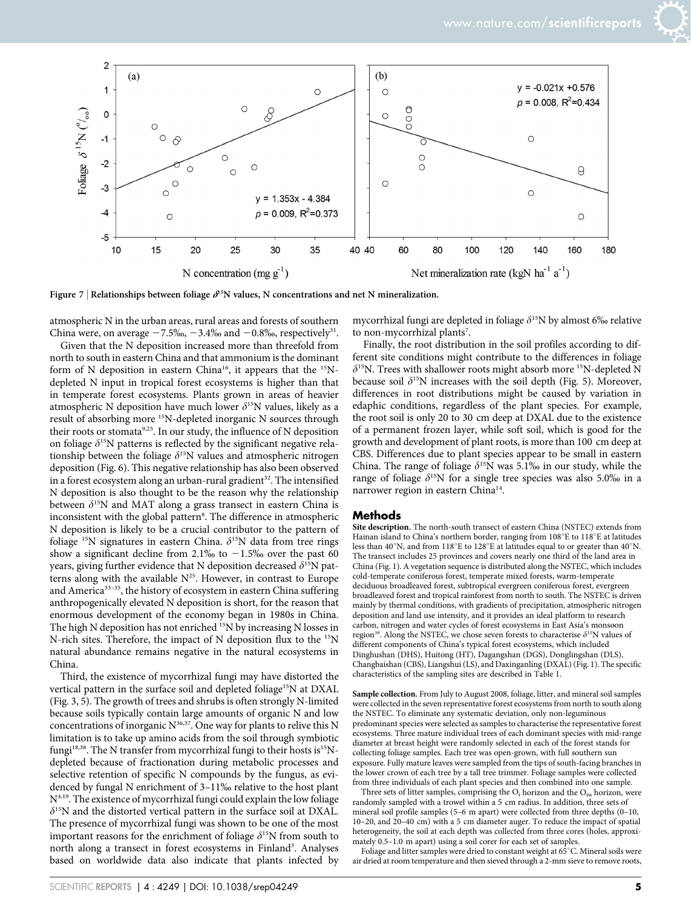

Figure 7 | Relationships between foliage  $\delta^{15}N$  values, N concentrations and net N mineralization.

atmospheric N in the urban areas, rural areas and forests of southern China were, on average  $-7.5\%$ ,  $-3.4\%$  and  $-0.8\%$ , respectively<sup>31</sup>.

Given that the N deposition increased more than threefold from north to south in eastern China and that ammonium is the dominant form of N deposition in eastern China<sup>16</sup>, it appears that the <sup>15</sup>Ndepleted N input in tropical forest ecosystems is higher than that in temperate forest ecosystems. Plants grown in areas of heavier atmospheric N deposition have much lower  $\delta^{15}N$  values, likely as a result of absorbing more 15N-depleted inorganic N sources through their roots or stomata<sup>9,25</sup>. In our study, the influence of N deposition on foliage  $\delta^{15}N$  patterns is reflected by the significant negative relationship between the foliage  $\delta^{15}N$  values and atmospheric nitrogen deposition (Fig. 6). This negative relationship has also been observed in a forest ecosystem along an urban-rural gradient<sup>32</sup>. The intensified N deposition is also thought to be the reason why the relationship between  $\delta^{15}N$  and MAT along a grass transect in eastern China is inconsistent with the global pattern<sup>8</sup>. The difference in atmospheric N deposition is likely to be a crucial contributor to the pattern of foliage <sup>15</sup>N signatures in eastern China.  $\delta^{15}N$  data from tree rings show a significant decline from 2.1% to  $-1.5$ % over the past 60 years, giving further evidence that N deposition decreased  $\delta^{15}N$  patterns along with the available  $N^{25}$ . However, in contrast to Europe and America<sup>33-35</sup>, the history of ecosystem in eastern China suffering anthropogenically elevated N deposition is short, for the reason that enormous development of the economy began in 1980s in China. The high N deposition has not enriched  $^{15}N$  by increasing N losses in N-rich sites. Therefore, the impact of N deposition flux to the 15N natural abundance remains negative in the natural ecosystems in China.

Third, the existence of mycorrhizal fungi may have distorted the vertical pattern in the surface soil and depleted foliage<sup>15</sup>N at DXAL (Fig. 3, 5). The growth of trees and shrubs is often strongly N-limited because soils typically contain large amounts of organic N and low concentrations of inorganic  $N^{36,37}$ . One way for plants to relive this N limitation is to take up amino acids from the soil through symbiotic fungi<sup>18,38</sup>. The N transfer from mycorrhizal fungi to their hosts is<sup>15</sup>Ndepleted because of fractionation during metabolic processes and selective retention of specific N compounds by the fungus, as evidenced by fungal N enrichment of 3-11% relative to the host plant N4,19. The existence of mycorrhizal fungi could explain the low foliage  $\delta$ <sup>15</sup>N and the distorted vertical pattern in the surface soil at DXAL. The presence of mycorrhizal fungi was shown to be one of the most important reasons for the enrichment of foliage  $\delta^{15}N$  from south to north along a transect in forest ecosystems in Finland<sup>3</sup>. Analyses based on worldwide data also indicate that plants infected by

mycorrhizal fungi are depleted in foliage  $\delta^{15}N$  by almost 6‰ relative to non-mycorrhizal plants<sup>7</sup>.

Finally, the root distribution in the soil profiles according to different site conditions might contribute to the differences in foliage  $\delta^{15}$ N. Trees with shallower roots might absorb more <sup>15</sup>N-depleted N because soil  $\delta^{15}N$  increases with the soil depth (Fig. 5). Moreover, differences in root distributions might be caused by variation in edaphic conditions, regardless of the plant species. For example, the root soil is only 20 to 30 cm deep at DXAL due to the existence of a permanent frozen layer, while soft soil, which is good for the growth and development of plant roots, is more than 100 cm deep at CBS. Differences due to plant species appear to be small in eastern China. The range of foliage  $\delta^{15}N$  was 5.1% in our study, while the range of foliage  $\delta^{15}N$  for a single tree species was also 5.0% in a narrower region in eastern China<sup>14</sup>.

#### Methods

Site description. The north-south transect of eastern China (NSTEC) extends from Hainan island to China's northern border, ranging from  $108^{\circ}E$  to  $118^{\circ}E$  at latitudes less than 40°N, and from 118°E to 128°E at latitudes equal to or greater than 40°N. The transect includes 25 provinces and covers nearly one third of the land area in China (Fig. 1). A vegetation sequence is distributed along the NSTEC, which includes cold-temperate coniferous forest, temperate mixed forests, warm-temperate deciduous broadleaved forest, subtropical evergreen coniferous forest, evergreen broadleaved forest and tropical rainforest from north to south. The NSTEC is driven mainly by thermal conditions, with gradients of precipitation, atmospheric nitrogen deposition and land use intensity, and it provides an ideal platform to research carbon, nitrogen and water cycles of forest ecosystems in East Asia's monsoon region<sup>39</sup>. Along the NSTEC, we chose seven forests to characterise  $\delta$ <sup>15</sup>N values of different components of China's typical forest ecosystems, which included Dinghushan (DHS), Huitong (HT), Dagangshan (DGS), Donglingshan (DLS), Changbaishan (CBS), Liangshui (LS), and Daxinganling (DXAL) (Fig. 1). The specific characteristics of the sampling sites are described in Table 1.

Sample collection. From July to August 2008, foliage, litter, and mineral soil samples were collected in the seven representative forest ecosystems from north to south along the NSTEC. To eliminate any systematic deviation, only non-leguminous predominant species were selected as samples to characterise the representative forest ecosystems. Three mature individual trees of each dominant species with mid-range diameter at breast height were randomly selected in each of the forest stands for collecting foliage samples. Each tree was open-grown, with full southern sun exposure. Fully mature leaves were sampled from the tips of south-facing branches in the lower crown of each tree by a tall tree trimmer. Foliage samples were collected from three individuals of each plant species and then combined into one sample.

Three sets of litter samples, comprising the  $O_i$  horizon and the  $O_{ea}$  horizon, were randomly sampled with a trowel within a 5 cm radius. In addition, three sets of mineral soil profile samples (5–6 m apart) were collected from three depths (0–10, 10–20, and 20–40 cm) with a 5 cm diameter auger. To reduce the impact of spatial heterogeneity, the soil at each depth was collected from three cores (holes, approximately 0.5–1.0 m apart) using a soil corer for each set of samples.

Foliage and litter samples were dried to constant weight at 65  $^{\circ} \textrm{C}.$  Mineral soils were air dried at room temperature and then sieved through a 2-mm sieve to remove roots,